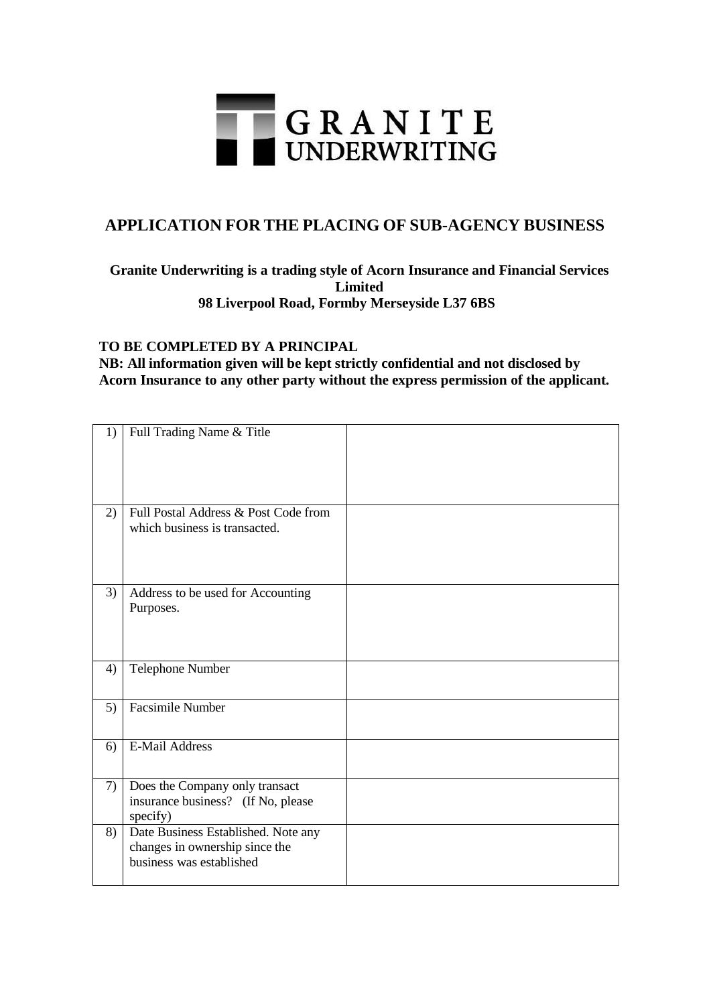

## **APPLICATION FOR THE PLACING OF SUB-AGENCY BUSINESS**

## **Granite Underwriting is a trading style of Acorn Insurance and Financial Services Limited 98 Liverpool Road, Formby Merseyside L37 6BS**

## **TO BE COMPLETED BY A PRINCIPAL**

**NB: All information given will be kept strictly confidential and not disclosed by Acorn Insurance to any other party without the express permission of the applicant.**

| 1) | Full Trading Name & Title                                                                         |  |
|----|---------------------------------------------------------------------------------------------------|--|
| 2) | Full Postal Address & Post Code from<br>which business is transacted.                             |  |
| 3) | Address to be used for Accounting<br>Purposes.                                                    |  |
| 4) | Telephone Number                                                                                  |  |
| 5) | Facsimile Number                                                                                  |  |
| 6) | <b>E-Mail Address</b>                                                                             |  |
| 7) | Does the Company only transact<br>insurance business? (If No, please<br>specify)                  |  |
| 8) | Date Business Established. Note any<br>changes in ownership since the<br>business was established |  |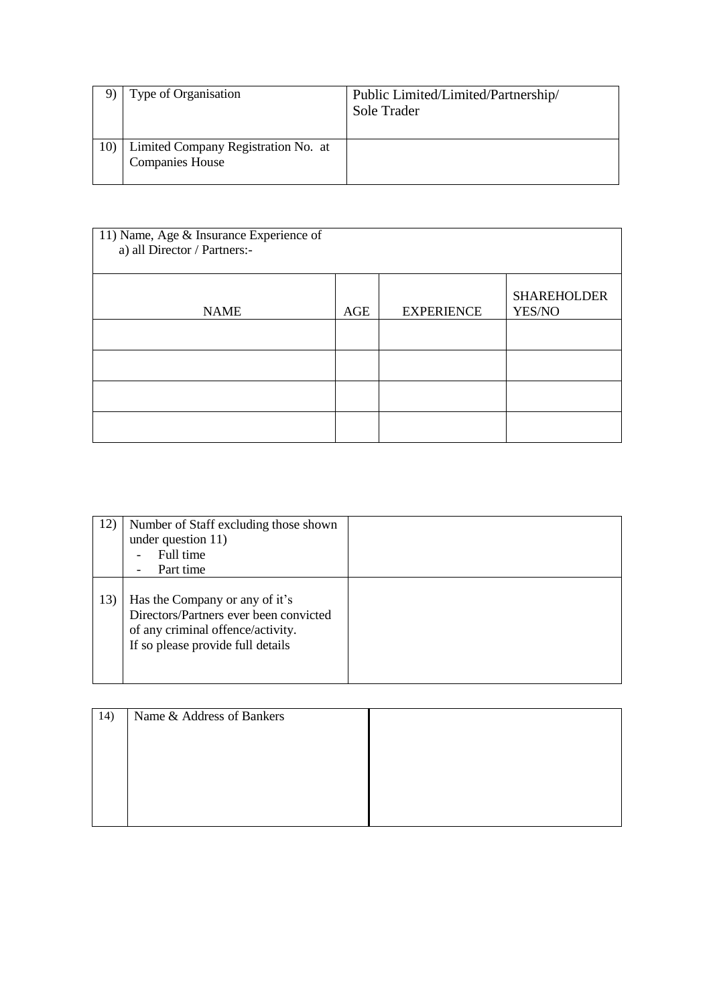|     | Type of Organisation                                          | Public Limited/Limited/Partnership/<br>Sole Trader |
|-----|---------------------------------------------------------------|----------------------------------------------------|
| 10) | Limited Company Registration No. at<br><b>Companies House</b> |                                                    |

| 11) Name, Age & Insurance Experience of<br>a) all Director / Partners:- |     |                   |                              |
|-------------------------------------------------------------------------|-----|-------------------|------------------------------|
| <b>NAME</b>                                                             | AGE | <b>EXPERIENCE</b> | <b>SHAREHOLDER</b><br>YES/NO |
|                                                                         |     |                   |                              |
|                                                                         |     |                   |                              |
|                                                                         |     |                   |                              |
|                                                                         |     |                   |                              |

| 12) | Number of Staff excluding those shown<br>under question 11)<br>Full time<br>Part time                                                              |  |
|-----|----------------------------------------------------------------------------------------------------------------------------------------------------|--|
| 13) | Has the Company or any of it's<br>Directors/Partners ever been convicted<br>of any criminal offence/activity.<br>If so please provide full details |  |

| 14) | Name & Address of Bankers |  |
|-----|---------------------------|--|
|     |                           |  |
|     |                           |  |
|     |                           |  |
|     |                           |  |
|     |                           |  |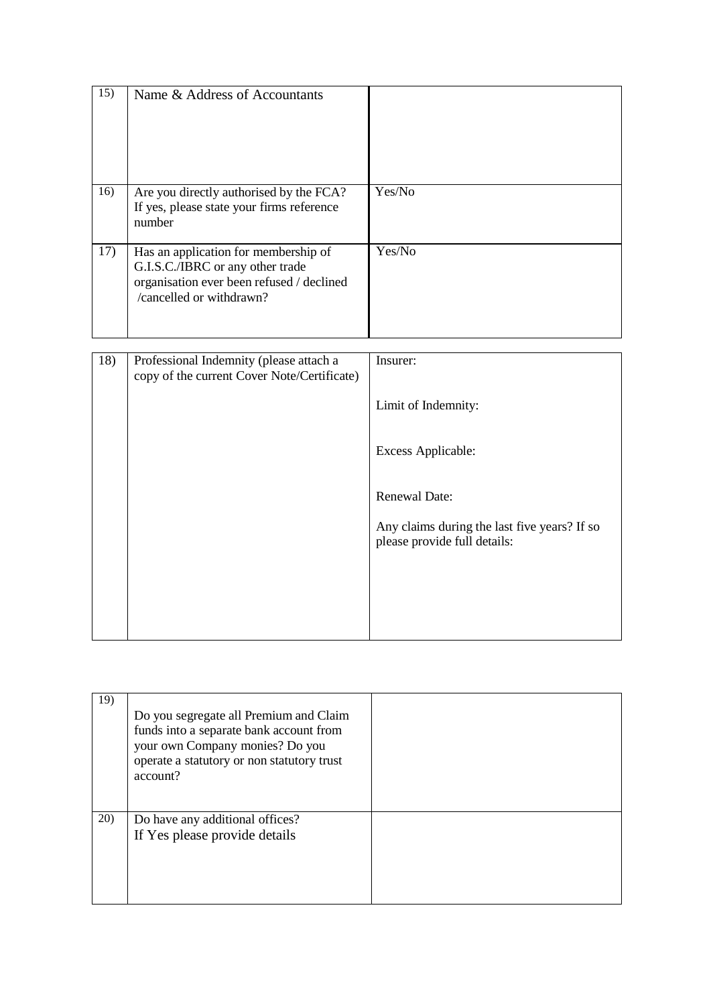| 15) | Name & Address of Accountants                                                                                                                     |        |
|-----|---------------------------------------------------------------------------------------------------------------------------------------------------|--------|
| 16) | Are you directly authorised by the FCA?<br>If yes, please state your firms reference<br>number                                                    | Yes/No |
| 17) | Has an application for membership of<br>G.I.S.C./IBRC or any other trade<br>organisation ever been refused / declined<br>/cancelled or withdrawn? | Yes/No |

| 18) | Professional Indemnity (please attach a<br>copy of the current Cover Note/Certificate) | Insurer:                                                                     |
|-----|----------------------------------------------------------------------------------------|------------------------------------------------------------------------------|
|     |                                                                                        | Limit of Indemnity:                                                          |
|     |                                                                                        | Excess Applicable:                                                           |
|     |                                                                                        | <b>Renewal Date:</b>                                                         |
|     |                                                                                        | Any claims during the last five years? If so<br>please provide full details: |
|     |                                                                                        |                                                                              |
|     |                                                                                        |                                                                              |

| 19) | Do you segregate all Premium and Claim<br>funds into a separate bank account from<br>your own Company monies? Do you<br>operate a statutory or non statutory trust<br>account? |  |
|-----|--------------------------------------------------------------------------------------------------------------------------------------------------------------------------------|--|
| 20) | Do have any additional offices?<br>If Yes please provide details                                                                                                               |  |